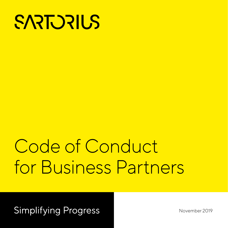

# Code of Conduct for Business Partners

**Simplifying Progress** 

November 2019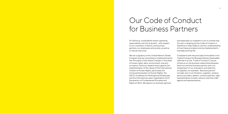### Our Code of Conduct for Business Partners

For Sartorius, sustainability means operating responsibility over the long term – with respect to our customers, investors, and business partners, our employees and society, as well as to natural resources.

We are a signatory of the United Nations Global Compact and are committed to implementing the Ten Principles of the Global Compact in the areas of human rights, labor, environment, and anticorruption. Sartorius respects and supports the implementation of the values of the International Charter of Human Rights, particularly the Universal Declaration of Human Rights, the OECD Guidelines for Multinational Enterprises, and the International Labor Organization (ILO) Declaration on Fundamental Principles and Rights at Work. We expect our business partners

and especially our suppliers to act in a similar way. Our aim in drawing up this Code of Conduct is therefore to help create a common understanding of how these principles must be implemented in everyday working life.

Compliance with the principles formulated in this Code of Conduct for Business Partners (hereinafter referred to as the "Code of Conduct") has an influence on the business relationship between Sartorius and the business partner and is an integral part of our evaluation and selection of suppliers, for example. "Business partner" includes, but is not limited to, suppliers, vendors, service providers, dealers, contract partners, sales representatives, brokers, advisors and their staff, agents and representatives.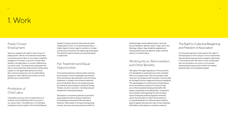### 1. Work

#### Fair Treatment and Equal **Opportunities**

### Freely Chosen Employment

### Prohibition of Child Labor

#### Working Hours, Remuneration, and Other Benefits

#### The Right to Collective Bargaining and Freedom of Association

Sartorius respects the right to free choice of employment. We do not tolerate forced labor, involuntary prison labor or any other unlawfully obligation of workers, any form of slave labor, serfdom, bonded labor or human trafficking in our value chain. Consequently, employees are free to terminate their employment relationship subject to the applicable period of notice. Any coercive measures such as withholding passports, other identity documents or work permits are not permitted.

Child labor and any form of exploitation of children are prohibited at Sartorius and in our value chain. The definition of child labor is based on the principles of the United Nations

Our business partners shall provide a working environment in which employees are treated fairly and without discrimination and inhumane treatment or threats of inhumane treatment are not tolerated. We do not accept physical punishment, psychological or physical duress, threats, insults or coercion, including (sexual) harassment and (sexual) abuse.

We expect our business partners to promote equal opportunities and equal treatment of employees and prevent discriminatory behavior. Particularly in hiring and employing human resources, business partners shall not We expect the legal regulations in force and the ILO standards on working hours to be complied with in our supply chain. The remuneration paid must be in accordance with the laws in force as well as the legal minimum wage and industry standards. The same applies to overtime and compensation for hours worked in excess of contract as well as to other stipulated employee benefits. We expect employees to be offered fair, competitive remuneration and equal pay for work of equal value. Employees shall be regularly informed about the calculation of their remuneration in a comprehensible form. Remuneration shall be paid at regular intervals and may not be unlawfully withheld as a disciplinary or punitive measure.

Our business partners shall respect the right of all employees to form and join unions and worker representative groups and to bargain collectively in accordance with the laws in force. Employees who are members of a union or of a worker representative group shall neither be treated preferentially nor be disadvantaged.

Global Compact and the International Labor Organization (ILO). If a local law prescribes a higher legal minimum age for workers or longer compulsory schooling, the higher age shall apply. The special need to protect young employees is respected.

disadvantage, treat preferentially or exclude anyone based on gender, ethnic origin, skin color, ideology, religion, age, disability, appearance, sexual preferences and identity, origin, political opinion or marital status.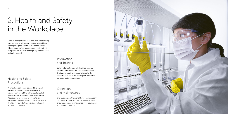6



### 2. Health and Safety in the Workplace

#### Health and Safety **Precautions**

#### Information and Training

### Operation and Maintenance

Our business partners shall ensure a safe working environment at all their production sites without endangering the health of their employees. A health and safety management system that complies with the relevant legal regulations shall be implemented.

All mechanical, chemical, and biological hazards in the workplace as well as risks arising from use of the infrastructure shall be identified, assessed, and documented. Appropriate measures must be taken to protect employees. These documented plans shall be reviewed at regular intervals and updated as needed.

Safety information on all identified hazards shall be furnished to the relevant employees. Obligatory training courses tailored to the hazards involved in the employees' work shall be given and documented.

Our business partners shall have the necessary processes in place and resources available to ensure adequate maintenance of all equipment and its safe operation.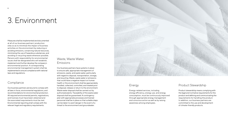

## 3. Environment

#### Waste, Waste Water, Emissions

Measures shall be implemented and documented at all of our business partners' production sites so as to minimize the impact of business activities on the environment by reducing or avoiding emissions, conserving natural resources, minimizing the use of hazardous substances, and avoiding or recycling waste wherever possible. Persons with responsibility for environmental issues shall be designated who will establish, implement and further develop the company's environmental position. A corresponding environmental management system shall be implemented to ensure compliance with national laws and regulations.

#### **Compliance**

Our business partners are bound to comply with all laws in force, environmental regulations, and recommendations for environmental protection. All required environmental permits, registrations, and licenses must have been obtained and the associated requirements must be met. Environmental reporting shall comply with the relevant legal and regulatory requirements.

Our business partners have systems in place to ensure safe, appropriate management of emissions, waste, and waste water, particularly with regard to disposal, transportation, storage, and recycling. Waste, waste water or emissions that could have a negative impact on human health or the environment shall be appropriately handled, collected, controlled, and treated prior to disposal, release or return to the environment. Waste water disposal shall be carried out by authorized plants. Traceability of the waste water disposal shall be guaranteed. A contingency plan with appropriate processes and trained personnel shall be in place so that suitable steps can be taken to avert danger in the event of a threat to the environment and groundwater.

Energy-related services, including energy efficiency, energy use, and energy consumption, must be continuously improved through appropriate energy management and conscious action as well as by raising awareness among employees.

#### Energy **Product Stewardship**

Product stewardship means complying with the legal and normative requirements for the product and defining and communicating the requirements for handling the product. In addition, our business partners are committed to the use and development of climate-friendly products.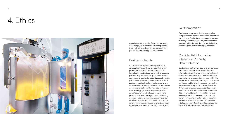### 4. Ethics



#### Business Integrity

#### Fair Competition

#### Confidential Information, Intellectual Property, Data Protection

Compliance with the rule of law is a given for us. Accordingly, we expect our business partners to comply with the legal framework and other general conditions applicable to them.

All forms of corruption, bribery, extortion, embezzlement, and money laundering are prohibited and must not be practiced or tolerated by the business partner. Our business partners may not promise, grant, offer, accept or demand any unlawful advantages or benefits, particularly in business transactions with third parties or public officials, or be involved in any other unlawful attempts to influence business or government relations. They are also prohibited from making payments to or granting other advantages to an individual, a company or a public official with the objective of influencing decision-making processes. Furthermore, our business partners shall not influence Sartorius employees in their decisions to award contracts by giving them or related parties unlawful gifts.

Our business partners shall engage in fair competition and observe and uphold all antitrust laws in force. Our business partners shall ensure that they do not engage in any anticompetitive practices, which include, but are not limited to, price fixing and market sharing agreements.

Our business partners are bound to use Sartorius' intellectual property and all confidential information, including personal data collected, stored, and processed for or by Sartorius, in an appropriate and responsible manner within the scope of the applicable statutory or contractual provisions and to take all necessary protective measures in this regard to prevent its misuse, theft, fraud, unauthorized access, disclosure or modification. This also includes unauthorized disclosure and | or publication of information received from or on behalf of Sartorius. The transfer or sharing of technology or expertise must be effected in a manner that protects intellectual property rights and complies with applicable legal or contractual provisions.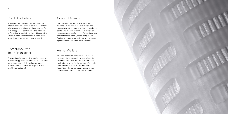#### Conflict Minerals

#### Animal Welfare

Our business partners shall guarantee responsible procurement of minerals and make every effort to ensure that no products containing metals whose base minerals or derivatives originate from a conflict region where they contribute directly or indirectly to the funding or support of armed groups or to human rights violations are supplied to Sartorius.

Animals must be treated respectfully and experiments on animals kept to an absolute minimum. Where no appropriate alternative methods are available, the number of animals needed should be kept to a minimum. In addition, the suffering and stress of the animals used must be kept to a minimum.



#### Conflicts of Interest

#### Compliance with Trade Regulations

We expect our business partners to avoid interactions with Sartorius employees or their relatives and related parties that might conflict with or appear to conflict with the interests of Sartorius. Any relationships or kinship with Sartorius employees that could constitute a conflict of interest must be disclosed.

All export and import control regulations as well as all other applicable commercial and customs regulations, particularly the laws on sanction programs and economic embargoes in force, must be complied with.

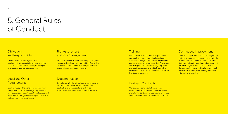### 5. General Rules of Conduct

#### **Obligation** and Responsibility

The obligation to comply with the requirements and expectations arising from this Code of Conduct shall be fulfilled, for example by allocating appropriate resources.

### Legal and Other

#### Risk Assessment and Risk Management

#### Continuous Improvement

Our business partners shall ensure that they comply with all applicable legal requirements, regulations, permits, authorizations, licenses and other regulations, generally accepted standards, and contractual arrangements.

Our business partners shall ensure the development and implementation of suitable plans for the continuity of operational processes affecting their business activities with Sartorius.

Our business partners shall take a preventive approach and encourage timely raising of awareness among their employees and business partners of possible hazards and risks. Employees and management shall attend obligatory courses and training programs tailored to their work to enable them to fulfill the requirements set forth in this Code of Conduct.

Requirements Business Continuity Compliance with the principles and requirements set forth in this Code of Conduct and other applicable laws and regulations shall be appropriate and documented in verifiable form.

#### **Training**

Processes shall be in place to identify, assess, and manage risks related to the areas identified in this Code of Conduct and ensure compliance with the applicable legal requirements.

#### **Documentation**

Our business partners shall have management systems in place to ensure compliance with the expectations set out in this Code of Conduct. Sartorius anticipates continuous improvement based on targets it has set itself as well as development of plans and implementation of measures to remedy shortcomings identified internally or externally.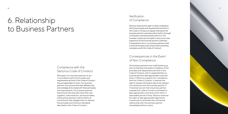

### 6. Relationship to Business Partners

#### Compliance with the Sartorius Code of Conduct

#### Verification of Compliance

#### Consequences in the Event of Non-Compliance

We expect our business partners to act in accordance with the principles and requirements set forth in this Code of Conduct that are applicable to them. Our business partners must ensure that their affiliates also acknowledge and comply with these principles and requirements. Our business partners shall ensure that they also have their own suppliers, subcontractors, service providers, and business partners submit letters of commitment that obligate them to observe the principles and minimum standards described in this Code of Conduct.

Sartorius reserves the right to verify compliance with the principles and requirements set forth in this Code of Conduct at regular intervals at the business partner's premises either itself or through a third party commissioned by Sartorius. This includes, in particular, the right to carry out on-site inspections at the business partner's premises. If requested to do so, our business partners shall furnish all necessary documents demonstrating compliance with this Code of Conduct.

Our business partners must notify Sartorius as soon as they become aware of violations of the principles and requirements set forth in this Code of Conduct, and it is expected that our business partners take appropriate corrective action. If Sartorius suspects non-compliance with this Code of Conduct, it reserves the right to request information about the relevant circumstances from the business partner. If it has been proven that a business partner violated this Code of Conduct and failed to take appropriate corrective action within a reasonable period of time, Sartorius reserves the right to take appropriate legal action, in particular to terminate the contractual relationship with the business partner immediately without notice.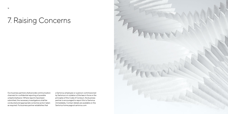### 7. Raising Concerns



Our business partners shall provide communication channels for confidential reporting of possible unlawful behavior. Where reports have been submitted, the necessary investigations shall be conducted and appropriate corrective action taken as required. If a business partner establishes that

a Sartorius employee or a person commissioned by Sartorius is in violation of the laws in force or the principles of this Code of Conduct, the business partner is encouraged to report this to Sartorius immediately. Contact details are available on the Sartorius home page at sartorius.com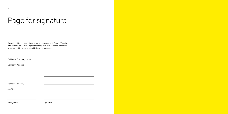## Page for signature

By signing this document, I confirm that I have read this Code of Conduct<br>for Business Partners and agree to comply with this Code and undertake to implement the necessary guidelines and processes.

| Full Legal Company Name |  |  |
|-------------------------|--|--|
|-------------------------|--|--|

Company Address

Name of Signatory

Job Title

Place, Date

Signature